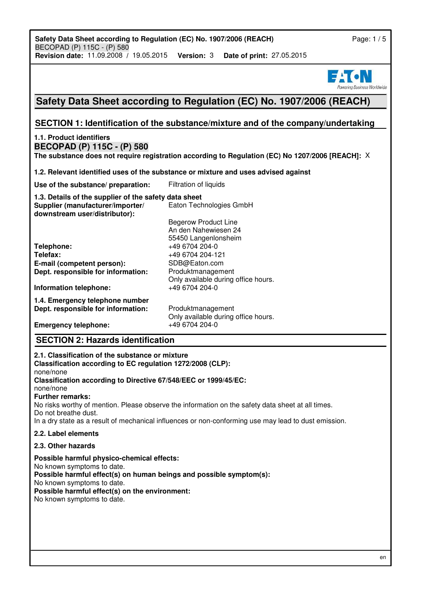**Safety Data Sheet according to Regulation (EC) No. 1907/2006 (REACH)** Page: 1/5 BECOPAD (P) 115C - (P) 580 **Revision date:** 11.09.2008 **/** 19.05.2015 **Version:** 3 **Date of print:** 27.05.2015

# iness Worldwide **Safety Data Sheet according to Regulation (EC) No. 1907/2006 (REACH) SECTION 1: Identification of the substance/mixture and of the company/undertaking 1.1. Product identifiers BECOPAD (P) 115C - (P) 580 The substance does not require registration according to Regulation (EC) No 1207/2006 [REACH]:** X **1.2. Relevant identified uses of the substance or mixture and uses advised against Use of the substance/ preparation:** Filtration of liquids **1.3. Details of the supplier of the safety data sheet Supplier (manufacturer/importer/** Eaton Technologies GmbH **downstream user/distributor):** Begerow Product Line An den Nahewiesen 24 55450 Langenlonsheim **Telephone:** +49 6704 204-0 **Telefax:** +49 6704 204-121<br> **E-mail (competent person):** SDB@Eaton.com **E-mail (competent person): Dept. responsible for information:** Produktmanagement Only available during office hours. **Information telephone:**  $+496704204-0$ **1.4. Emergency telephone number Dept. responsible for information:** Produktmanagement Only available during office hours. **Emergency telephone:**  $+496704204-0$ **SECTION 2: Hazards identification 2.1. Classification of the substance or mixture Classification according to EC regulation 1272/2008 (CLP):** none/none **Classification according to Directive 67/548/EEC or 1999/45/EC:** none/none **Further remarks:**

No risks worthy of mention. Please observe the information on the safety data sheet at all times. Do not breathe dust. In a dry state as a result of mechanical influences or non-conforming use may lead to dust emission.

#### **2.2. Label elements**

## **2.3. Other hazards**

**Possible harmful physico-chemical effects:** No known symptoms to date. **Possible harmful effect(s) on human beings and possible symptom(s):** No known symptoms to date. **Possible harmful effect(s) on the environment:** No known symptoms to date.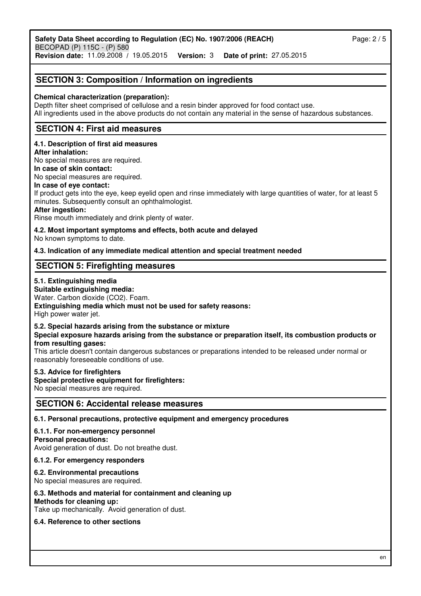## **SECTION 3: Composition / Information on ingredients**

#### **Chemical characterization (preparation):**

Depth filter sheet comprised of cellulose and a resin binder approved for food contact use. All ingredients used in the above products do not contain any material in the sense of hazardous substances.

## **SECTION 4: First aid measures**

# **4.1. Description of first aid measures**

**After inhalation:**

No special measures are required. **In case of skin contact:**

No special measures are required.

#### **In case of eye contact:**

If product gets into the eye, keep eyelid open and rinse immediately with large quantities of water, for at least 5 minutes. Subsequently consult an ophthalmologist.

#### **After ingestion:**

Rinse mouth immediately and drink plenty of water.

#### **4.2. Most important symptoms and effects, both acute and delayed**

No known symptoms to date.

**4.3. Indication of any immediate medical attention and special treatment needed**

## **SECTION 5: Firefighting measures**

#### **5.1. Extinguishing media**

#### **Suitable extinguishing media:**

#### Water. Carbon dioxide (CO2). Foam.

**Extinguishing media which must not be used for safety reasons:**

High power water jet.

#### **5.2. Special hazards arising from the substance or mixture**

#### **Special exposure hazards arising from the substance or preparation itself, its combustion products or from resulting gases:**

This article doesn't contain dangerous substances or preparations intended to be released under normal or reasonably foreseeable conditions of use.

#### **5.3. Advice for firefighters**

#### **Special protective equipment for firefighters:**

No special measures are required.

#### **SECTION 6: Accidental release measures**

#### **6.1. Personal precautions, protective equipment and emergency procedures**

#### **6.1.1. For non-emergency personnel Personal precautions:**

Avoid generation of dust. Do not breathe dust.

#### **6.1.2. For emergency responders**

# **6.2. Environmental precautions**

No special measures are required.

#### **6.3. Methods and material for containment and cleaning up**

#### **Methods for cleaning up:**

Take up mechanically. Avoid generation of dust.

#### **6.4. Reference to other sections**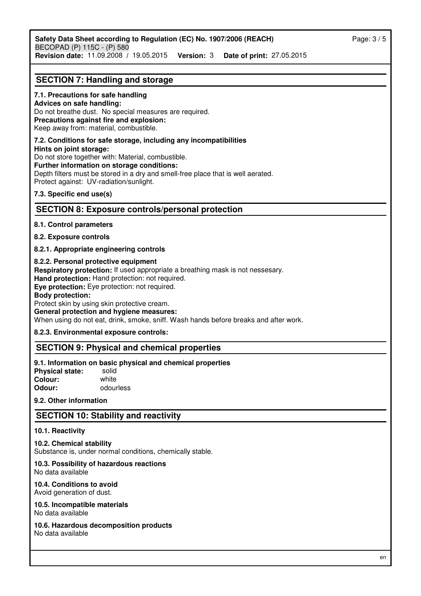## **SECTION 7: Handling and storage**

#### **7.1. Precautions for safe handling**

**Advices on safe handling:** Do not breathe dust. No special measures are required. **Precautions against fire and explosion:** Keep away from: material, combustible.

#### **7.2. Conditions for safe storage, including any incompatibilities**

**Hints on joint storage:**

Do not store together with: Material, combustible.

**Further information on storage conditions:**

Depth filters must be stored in a dry and smell-free place that is well aerated. Protect against: UV-radiation/sunlight.

#### **7.3. Specific end use(s)**

## **SECTION 8: Exposure controls/personal protection**

#### **8.1. Control parameters**

#### **8.2. Exposure controls**

#### **8.2.1. Appropriate engineering controls**

#### **8.2.2. Personal protective equipment**

**Respiratory protection:** If used appropriate a breathing mask is not nessesary.

**Hand protection:** Hand protection: not required.

**Eye protection:** Eye protection: not required.

#### **Body protection:**

Protect skin by using skin protective cream.

#### **General protection and hygiene measures:**

When using do not eat, drink, smoke, sniff. Wash hands before breaks and after work.

#### **8.2.3. Environmental exposure controls:**

## **SECTION 9: Physical and chemical properties**

#### **9.1. Information on basic physical and chemical properties**

**Physical state:** solid<br>Colour: white **Colour: Odour:** odourless

#### **9.2. Other information**

## **SECTION 10: Stability and reactivity**

#### **10.1. Reactivity**

**10.2. Chemical stability** Substance is, under normal conditions, chemically stable.

# **10.3. Possibility of hazardous reactions**

No data available

#### **10.4. Conditions to avoid** Avoid generation of dust.

# **10.5. Incompatible materials**

No data available

#### **10.6. Hazardous decomposition products** No data available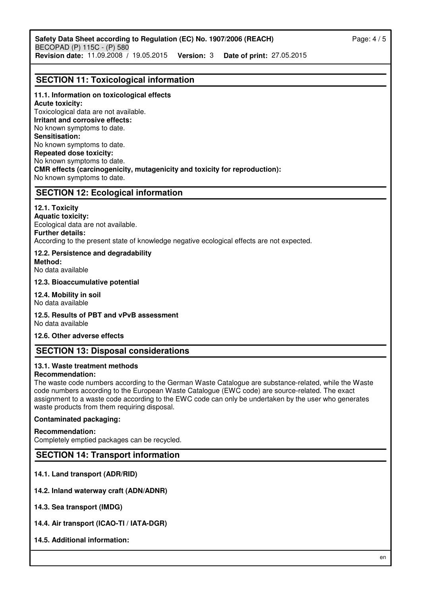# **SECTION 11: Toxicological information**

## **11.1. Information on toxicological effects**

**Acute toxicity:** Toxicological data are not available. **Irritant and corrosive effects:** No known symptoms to date. **Sensitisation:** No known symptoms to date. **Repeated dose toxicity:** No known symptoms to date. **CMR effects (carcinogenicity, mutagenicity and toxicity for reproduction):** No known symptoms to date.

## **SECTION 12: Ecological information**

**12.1. Toxicity Aquatic toxicity:** Ecological data are not available. **Further details:** According to the present state of knowledge negative ecological effects are not expected.

**12.2. Persistence and degradability Method:** No data available

**12.3. Bioaccumulative potential**

**12.4. Mobility in soil** No data available

**12.5. Results of PBT and vPvB assessment** No data available

**12.6. Other adverse effects**

## **SECTION 13: Disposal considerations**

# **13.1. Waste treatment methods**

## **Recommendation:**

The waste code numbers according to the German Waste Catalogue are substance-related, while the Waste code numbers according to the European Waste Catalogue (EWC code) are source-related. The exact assignment to a waste code according to the EWC code can only be undertaken by the user who generates waste products from them requiring disposal.

#### **Contaminated packaging:**

#### **Recommendation:**

Completely emptied packages can be recycled.

## **SECTION 14: Transport information**

#### **14.1. Land transport (ADR/RID)**

**14.2. Inland waterway craft (ADN/ADNR)**

**14.3. Sea transport (IMDG)**

**14.4. Air transport (ICAO-TI / IATA-DGR)**

**14.5. Additional information:**